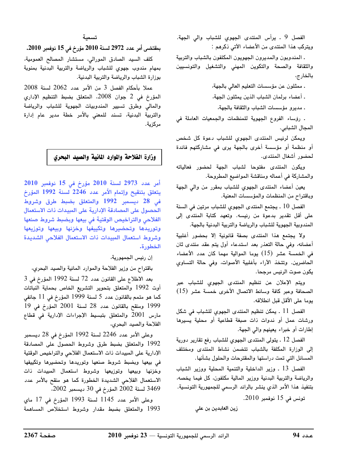الفصل 9 . يرأس المنتدى الجهوي للشباب والي الجهة. ويتركب هذا المنتدى من الأعضاء الآتي ذكرهم :

. المندوبون والمديرون الجهويون المكلفون بالشباب والتربية والثقافة والصحة والتكوين المهني والتشغيل والتونسيين بالخارج،

ـ ممثلون عن مؤسسات التعليم العالي بالجهة،

. أعضاء برلمان الشباب الذين يمثلون الجهة،

. مديرو مؤسسات الشباب والثقافة بالجهة،

. رؤساء الفروع الجهوية للمنظمات والجمعيات العاملة فى المجال الشبابي.

ويمكن لرئيس المنتدى الجهوي للشباب دعوة كل شخص أو منظمة أو مؤسسة أخرى بالجهة يرى في مشاركتهم فائدة لحضور أشغال المنتدى.

ويكون المنتدى مفتوحا لشباب الجهة لحضور فعالياته والمشاركة في أعماله ومناقشة المواضيع المطروحة.

يعين أعضاء المنتدى الجهوي للشباب بمقرر من والى الجهة وباقتراح من المنظمات والمؤسسات المعنية.

الفصل 10 . يجتمع المنتدى الجهوى للشباب مرتين في السنة على أقل تقدير بدعوة من رئيسه. وتعهد كتابة المنتدى إلى المندوبية الجهوية للشباب والرياضة والتربية البدنية بالجهة.

ولا يجتمع هذا المنتدى بصفة قانونية إلا بحضور أغلبية أعضائه، وفي حالة التعذر بعد استدعاء أول يتم عقد منتدى ثان فى الخمسة عشر (15) يوما الموالية مهما كان عدد الأعضاء الحاضرين. وتتخذ الآراء بأغلبية الأصوات، وفى حالة التساوي يكون صوت الرئيس مرجحا.

ويتم الإعلان عن تنظيم المنتدى الجهوي للشباب عبر الصحافة وعبر كافة وسائط الاتصال الأخرى خمسة عشر (15) يوما على الأقل قبل انطلاقه.

الفصل 11 . يمكن تنظيم المنتدى الجهوي للشباب في شكل ورشات عمل أو ندوات ذات صبغة قطاعية أو محلية يسيرها إطارات أو خبراء يعينهم والى الجهة.

الفصل 12 ـ يتولى المنتدى الجهوى للشباب رفع تقارير دورية إلى الوزارة المكلفة بالشباب تتضمن نشاط المنتدى ومختلف المسائل التي تمت دراستها والمقترحات والحلول بشأنها.

الفصل 13 . وزير الداخلية والتنمية المحلية ووزير الشباب والرياضة والتربية البدنية ووزير المالية مكلفون، كل فيما يخصه، بتنفيذ هذا الأمر الذى ينشر بالرائد الرسمى للجمهورية التونسية.

تونس في 15 نوفمبر 2010.

بمقتضى أمر عدد 2972 لسنة 2010 مؤرخ في 15 نوفمبر 2010.

كلف السيد الصادق المورالى، مستشار المصالح العمومية، بمهام مندوب جهوي للشباب والرياضة والتربية البدنية بمنوبة بوزارة الشباب والرياضة والتربية البدنية.

عملا بأحكام الفصل 3 من الأمر عدد 2062 لسنة 2008 المؤرخ في 2 جوان 2008، المتعلق بضبط التنظيم الإداري والمالي وطرق تسيير المندوبيات الجهوية للشباب والرياضة والتربية البدنية، تسند للمعنى بالأمر خطة مدير عام إدارة مركزية.

## وزارة الفلاحة والموارد المائية والصيد البحري

أمر عدد 2973 لسنة 2010 مؤرخ في 15 نوفمبر 2010 يتعلق بتنقيح وإتمام الأمر عدد 2246 لسنة 1992 المؤرخ في 28 ديسمبر 1992 والمتعلق بضبط طرق وشروط الحصول على المصادقة الإدارية على المبيدات ذات الاستعمال الفلاحي والتراخيص الوقتية في بيعها وبضبط شروط صنعها وتوريدها وتحضيرها وتكييفها وخزنها وبيعها وتوزيعها وشروط استعمال المبيدات ذات الاستعمال الفلاحى الشديدة الخطورة.

إن رئيس الجمهورية،

باقتراح من وزير الفلاحة والموارد المائية والصيد البحري،

بعد الاطلاع على القانون عدد 72 لسنة 1992 المؤرخ في 3 أوت 1992 والمتعلق بتحوير التشريع الخاص بحماية النباتات كما هو متمم بالقانون عدد 5 لسنة 1999 المؤرخ في 11 جانفي 1999 ومنقح بالقانون عدد 28 لسنة 2001 المؤرخ في 19 مارس 2001 والمتعلق بتبسيط الإجراءات الإدارية فى قطاع الفلاحة والصيد البحرى،

وعلى الأمر عدد 2246 لسنة 1992 المؤرخ في 28 ديسمبر 1992 والمتعلق بضبط طرق وشروط الحصول على المصادقة الإدارية على المبيدات ذات الاستعمال الفلاحي والتراخيص الوقتية فى بيعها وبضبط شروط صنعها وتوريدها وتحضيرها وتكييفها وخزنها وبيعها وتوزيعها وشروط استعمال المبيدات ذات الاستعمال الفلاحى الشديدة الخطورة كما هو منقح بالأمر عدد 3469 لسنة 2002 المؤرخ في 30 ديسمبر 2002،

وعلى الأمر عدد 1145 لسنة 1993 المؤرخ في 17 ماي 1993 والمتعلق بضبط مقدار وشروط استخلاص المساهمة

زين العابدين بن على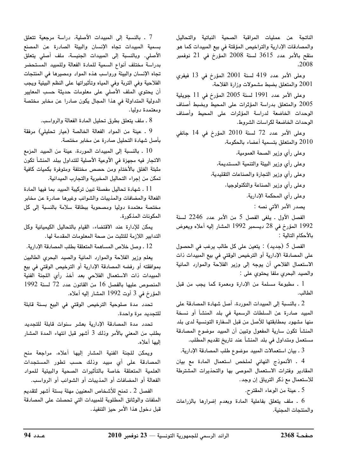الناتجة عن عمليات المراقبة الصحية النباتية والتحاليل والمصادقات الإدارية والتراخيص المؤقتة في بيع المبيدات كما هو منقح بالأمر عدد 3615 لسنة 2008 المؤرخ في 21 نوفمبر .2008

وعلى الأمر عدد 419 لسنة 2001 المؤرخ في 13 فيفرى 2001 والمتعلق بضبط مشمولات وزارة الفلاحة،

وعلى الأمر عدد 1991 لسنة 2005 المؤرخ في 11 جويلية 2005 والمتعلق بدراسة المؤثرات على المحيط وبضبط أصناف الوحدات الخاضعة لدراسة المؤثرات على المحيط وأصناف الوحدات الخاضعة لكراسات الشروط.

وعلى الأمر عدد 72 لسنة 2010 المؤرخ في 14 جانفي 2010 والمتعلق بتسمية أعضاء بالحكومة،

> وعلى رأي وزير الصحة العمومية، وعلى رأي وزير البيئة والتنمية المستديمة، وعلى رأي وزير التجارة والصناعات التقليدية، وعلى رأى وزير الصناعة والتكنولوجيا، وعلى رأى المحكمة الإدارية. يصدر الأمر الآتي نصه :

الفصل الأول . يلغى الفصل 5 من الأمر عدد 2246 لسنة 1992 المؤرخ في 28 ديسمبر 1992 المشار إليه أعلاه ويعوض بالأحكام التالية :

الفصل 5 (جديد) : يتعين على كل طالب يرغب في الحصول على المصادقة الإدارية أو الترخيص الوقتى فى بيع المبيدات ذات الاستعمال الفلاحى أن يوجه إلى وزير الفلاحة والموارد المائية والصيد البحري ملفا يحتوي على :

1 . مطبوعة مسلمة من الإدارة ومعمرة كما يجب من قبل الطالب.

2 ـ بالنسبة إلى المبيدات الموردة، أصل شهادة المصادقة على المبيد صادرة عن السلطات الرسمية في بلد المنشأ أو نسخة منها مشهود بمطابقتها للأصل من قبل السفارة التونسية لدى بلد المنشأ تكون سارية المفعول وتبين أن المبيد موضوع المصادقة مستعمل ومتداول في بلد المنشأ عند تاريخ تقديم المطلب.

3 ـ بيان استعمالات المبيد موضوع طلب المصادقة الإدارية.

4 ـ الأنموذج النهائى لملخص استعمال المادة مع بيان المقادير وفترات الاستعمال الموصى بها والتحذيرات المشترطة للاستعمال مع ذكر الترياق إن وجد.

5 ـ عينة من الوعاء المقترح.

. ملف يتعلق بفاعلية المادة وبعدم إضرارها بالزراعات والمنتجات المجنية.

7 . بالنسبة إلى المبيدات الأصلية، دراسة مرجعية تتعلق بسمية المبيدات تجاه الإنسان والبيئة الصادرة عن المصنع الأصلي. وبالنسبة إلى المبيدات الجنيسة، ملف أصلى يتعلق بدراسة مختلف أنواع السمية للمادة الفعالة وللمبيد المستحضر تجاه الإنسان والبيئة ورواسب هذه المواد ومصيرها فى المنتجات الفلاحية وفى التربة وفى المياه وتأثيراتها على النظم البيئية ويجب أن يحتوي الملف الأصلي على معلومات حديثة حسب المعايير الدولية المتداولة في هذا المجال يكون صادرا عن مخابر مختصة ومعتمدة دوليا.

8 ـ ملف يتعلق بطرق تحليل المادة الفعالة والرواسب.

9 . عينة من المواد الفعالة الخالصة (عيار تحليلى) مرفقة بأصل شهادة التحليل صادرة عن مخابر مختصة.

الاتجار فيه مجهزة في الأوعية الأصلية للتداول ببلد المنشأ تكون مثبتة الغلق بالأختام ومن حصص مختلفة ومتوفرة بكميات كافية تمكن من إجراء التحاليل المخبرية والتجارب الميدانية.

11 . شهادة تحاليل مفصلة تبين تركيبة المبيد بما فبها المادة الفعالة والمضافات والمذيبات والشوائب وغيرها صادرة عن مخابر مختصة معتمدة دوليا ومصحوبة ببطاقة سلامة بالنسبة إلى كل المكونات المذكورة.

يمكن للإدارة عند الاقتضاء، القيام بالتحاليل الكيميائية وكل التدابير اللازمة للتثبت من صحة المعلومات المقدمة لها.

12 . وصل خلاص المساهمة المتعلقة بطلب المصادقة الإدارية.

يعلم وزير الفلاحة والموارد المائية والصيد البحرى الطالبين بموافقته أو رفضه المصادقة الإدارية أو الترخيص الوقتى فى بيع المبيدات ذات الاستعمال الفلاحي بعد أخذ رأي اللجنة الفنية المنصوص عليها بالفصل 16 من القانون عدد 72 لسنة 1992 المؤرخ في 3 أوت 1992 المشار إليه أعلاه.

تحدد مدة صلوحية الترخيص الوقتى فى البيع بسنة قابلة للتجديد مرة واحدة.

تحدد مدة المصادقة الإدارية بعشر سنوات قابلة للتجديد بطلب من المعنى بالأمر وذلك 3 أشهر قبل انتهاء المدة المشار إليها أعلاه.

ويمكن للجنة الفنية المشار إليها أعلاه، مراجعة منح المصادقة على أى مبيد وذلك حسب تطور المستجدات العلمية المتعلقة خاصة بالتأثيرات الصحية والبيئية للمواد الفعالة أو المضافات أو المذيبات أو الشوائب أو الرواسب.

الفصل 2 . تمنح للأشخاص المعنيين مهلة بستة أشهر لتقديم الملفات والوثائق المطلوبة للمبيدات التى تحصلت على المصادقة قبل دخول هذا الأمر حيز التنفيذ.